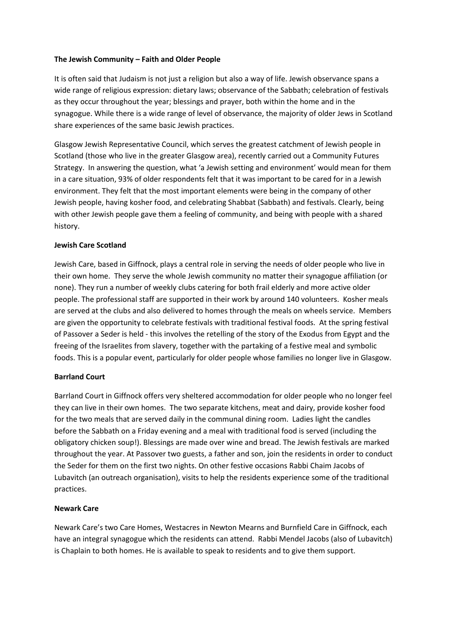## **The Jewish Community – Faith and Older People**

It is often said that Judaism is not just a religion but also a way of life. Jewish observance spans a wide range of religious expression: dietary laws; observance of the Sabbath; celebration of festivals as they occur throughout the year; blessings and prayer, both within the home and in the synagogue. While there is a wide range of level of observance, the majority of older Jews in Scotland share experiences of the same basic Jewish practices.

Glasgow Jewish Representative Council, which serves the greatest catchment of Jewish people in Scotland (those who live in the greater Glasgow area), recently carried out a Community Futures Strategy. In answering the question, what 'a Jewish setting and environment' would mean for them in a care situation, 93% of older respondents felt that it was important to be cared for in a Jewish environment. They felt that the most important elements were being in the company of other Jewish people, having kosher food, and celebrating Shabbat (Sabbath) and festivals. Clearly, being with other Jewish people gave them a feeling of community, and being with people with a shared history.

## **Jewish Care Scotland**

Jewish Care, based in Giffnock, plays a central role in serving the needs of older people who live in their own home. They serve the whole Jewish community no matter their synagogue affiliation (or none). They run a number of weekly clubs catering for both frail elderly and more active older people. The professional staff are supported in their work by around 140 volunteers. Kosher meals are served at the clubs and also delivered to homes through the meals on wheels service. Members are given the opportunity to celebrate festivals with traditional festival foods. At the spring festival of Passover a Seder is held - this involves the retelling of the story of the Exodus from Egypt and the freeing of the Israelites from slavery, together with the partaking of a festive meal and symbolic foods. This is a popular event, particularly for older people whose families no longer live in Glasgow.

# **Barrland Court**

Barrland Court in Giffnock offers very sheltered accommodation for older people who no longer feel they can live in their own homes. The two separate kitchens, meat and dairy, provide kosher food for the two meals that are served daily in the communal dining room. Ladies light the candles before the Sabbath on a Friday evening and a meal with traditional food is served (including the obligatory chicken soup!). Blessings are made over wine and bread. The Jewish festivals are marked throughout the year. At Passover two guests, a father and son, join the residents in order to conduct the Seder for them on the first two nights. On other festive occasions Rabbi Chaim Jacobs of Lubavitch (an outreach organisation), visits to help the residents experience some of the traditional practices.

### **Newark Care**

Newark Care's two Care Homes, Westacres in Newton Mearns and Burnfield Care in Giffnock, each have an integral synagogue which the residents can attend. Rabbi Mendel Jacobs (also of Lubavitch) is Chaplain to both homes. He is available to speak to residents and to give them support.